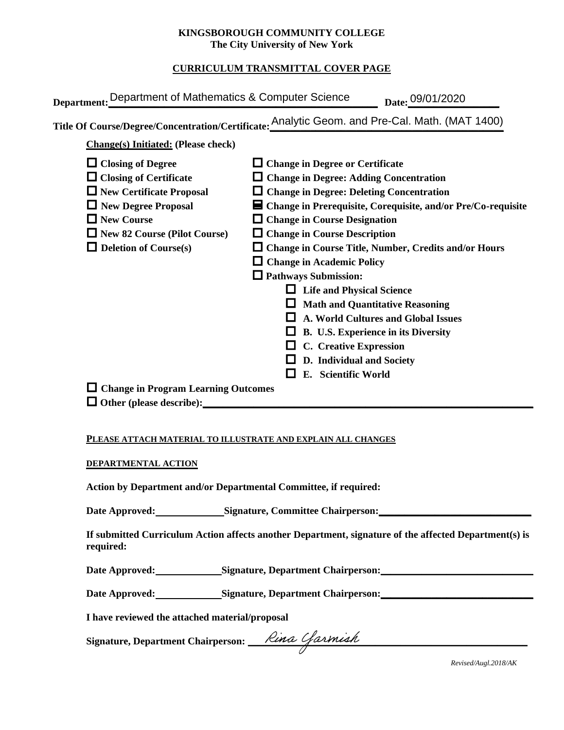### **KINGSBOROUGH COMMUNITY COLLEGE The City University of New York**

# **CURRICULUM TRANSMITTAL COVER PAGE**

| Department: Department of Mathematics & Computer Science                                                                                                                                                                                                      | Date: 09/01/2020                                                                                                                                                                                                                                                                                                                                                                                                                                                                                                                                                                                                                                                                    |
|---------------------------------------------------------------------------------------------------------------------------------------------------------------------------------------------------------------------------------------------------------------|-------------------------------------------------------------------------------------------------------------------------------------------------------------------------------------------------------------------------------------------------------------------------------------------------------------------------------------------------------------------------------------------------------------------------------------------------------------------------------------------------------------------------------------------------------------------------------------------------------------------------------------------------------------------------------------|
|                                                                                                                                                                                                                                                               | Title Of Course/Degree/Concentration/Certificate: Analytic Geom. and Pre-Cal. Math. (MAT 1400)                                                                                                                                                                                                                                                                                                                                                                                                                                                                                                                                                                                      |
| <b>Change(s)</b> Initiated: (Please check)                                                                                                                                                                                                                    |                                                                                                                                                                                                                                                                                                                                                                                                                                                                                                                                                                                                                                                                                     |
| $\Box$ Closing of Degree<br>$\Box$ Closing of Certificate<br>$\Box$ New Certificate Proposal<br>$\Box$ New Degree Proposal<br>$\Box$ New Course<br>New 82 Course (Pilot Course)<br>$\Box$ Deletion of Course(s)<br>$\Box$ Change in Program Learning Outcomes | $\Box$ Change in Degree or Certificate<br>$\Box$ Change in Degree: Adding Concentration<br>$\Box$ Change in Degree: Deleting Concentration<br>$\blacksquare$ Change in Prerequisite, Corequisite, and/or Pre/Co-requisite<br>$\Box$ Change in Course Designation<br>$\Box$ Change in Course Description<br>$\Box$ Change in Course Title, Number, Credits and/or Hours<br>$\Box$ Change in Academic Policy<br>$\Box$ Pathways Submission:<br>$\Box$ Life and Physical Science<br><b>Math and Quantitative Reasoning</b><br>A. World Cultures and Global Issues<br>B. U.S. Experience in its Diversity<br>C. Creative Expression<br>D. Individual and Society<br>E. Scientific World |
| Other (please describe):                                                                                                                                                                                                                                      |                                                                                                                                                                                                                                                                                                                                                                                                                                                                                                                                                                                                                                                                                     |

#### **PLEASE ATTACH MATERIAL TO ILLUSTRATE AND EXPLAIN ALL CHANGES**

#### **DEPARTMENTAL ACTION**

**Action by Department and/or Departmental Committee, if required:**

Date Approved: Signature, Committee Chairperson:

**If submitted Curriculum Action affects another Department, signature of the affected Department(s) is required:**

Date Approved: Signature, Department Chairperson: National Approved:

Date Approved: Signature, Department Chairperson: Network and Solven and Solven and Solven and Solven and Solven and Solven and Solven and Solven and Solven and Solven and Solven and Solven and Solven and Solven and Solven

**I have reviewed the attached material/proposal**

Signature, Department Chairperson: Network Chairperson.

*Revised/Augl.2018/AK*